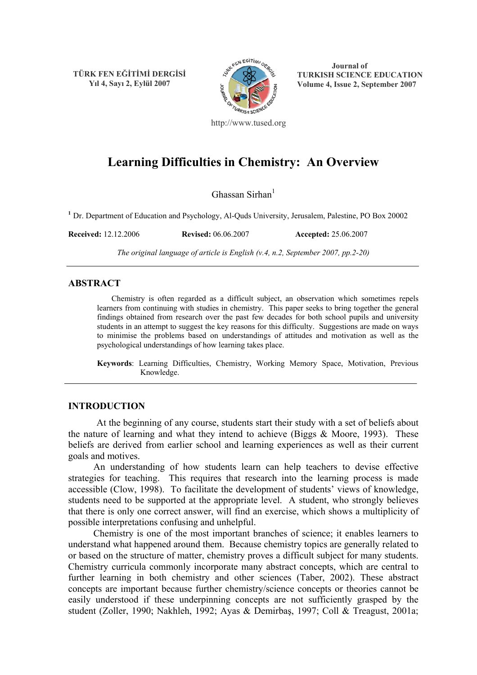**TÜRK FEN EĞİTİMİ DERGİSİ Yıl 4, Sayı 2, Eylül 2007**



**Journal of TURKISH SCIENCE EDUCATION Volume 4, Issue 2, September 2007** 

http://www.tused.org

# **Learning Difficulties in Chemistry: An Overview**

Ghassan Sirhan $<sup>1</sup>$ </sup>

**<sup>1</sup>** Dr. Department of Education and Psychology, Al-Quds University, Jerusalem, Palestine, PO Box 20002

**Received:** 12.12.2006 **Revised:** 06.06.2007 **Accepted:** 25.06.2007

*The original language of article is English (v.4, n.2, September 2007, pp.2-20)*

#### **ABSTRACT**

Chemistry is often regarded as a difficult subject, an observation which sometimes repels learners from continuing with studies in chemistry. This paper seeks to bring together the general findings obtained from research over the past few decades for both school pupils and university students in an attempt to suggest the key reasons for this difficulty. Suggestions are made on ways to minimise the problems based on understandings of attitudes and motivation as well as the psychological understandings of how learning takes place.

**Keywords**: Learning Difficulties, Chemistry, Working Memory Space, Motivation, Previous Knowledge.

## **INTRODUCTION**

 At the beginning of any course, students start their study with a set of beliefs about the nature of learning and what they intend to achieve (Biggs  $& Moore, 1993$ ). These beliefs are derived from earlier school and learning experiences as well as their current goals and motives.

An understanding of how students learn can help teachers to devise effective strategies for teaching. This requires that research into the learning process is made accessible (Clow, 1998). To facilitate the development of students' views of knowledge, students need to be supported at the appropriate level. A student, who strongly believes that there is only one correct answer, will find an exercise, which shows a multiplicity of possible interpretations confusing and unhelpful.

Chemistry is one of the most important branches of science; it enables learners to understand what happened around them. Because chemistry topics are generally related to or based on the structure of matter, chemistry proves a difficult subject for many students. Chemistry curricula commonly incorporate many abstract concepts, which are central to further learning in both chemistry and other sciences (Taber, 2002). These abstract concepts are important because further chemistry/science concepts or theories cannot be easily understood if these underpinning concepts are not sufficiently grasped by the student (Zoller, 1990; Nakhleh, 1992; Ayas & Demirbaş, 1997; Coll & Treagust, 2001a;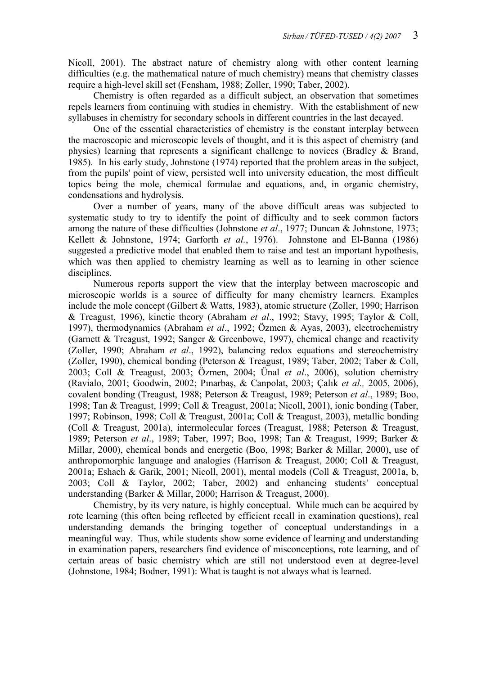Nicoll, 2001). The abstract nature of chemistry along with other content learning difficulties (e.g. the mathematical nature of much chemistry) means that chemistry classes require a high-level skill set (Fensham, 1988; Zoller, 1990; Taber, 2002).

Chemistry is often regarded as a difficult subject, an observation that sometimes repels learners from continuing with studies in chemistry. With the establishment of new syllabuses in chemistry for secondary schools in different countries in the last decayed.

One of the essential characteristics of chemistry is the constant interplay between the macroscopic and microscopic levels of thought, and it is this aspect of chemistry (and physics) learning that represents a significant challenge to novices (Bradley & Brand, 1985). In his early study, Johnstone (1974) reported that the problem areas in the subject, from the pupils' point of view, persisted well into university education, the most difficult topics being the mole, chemical formulae and equations, and, in organic chemistry, condensations and hydrolysis.

Over a number of years, many of the above difficult areas was subjected to systematic study to try to identify the point of difficulty and to seek common factors among the nature of these difficulties (Johnstone *et al*., 1977; Duncan & Johnstone, 1973; Kellett & Johnstone, 1974; Garforth *et al.*, 1976). Johnstone and El-Banna (1986) suggested a predictive model that enabled them to raise and test an important hypothesis, which was then applied to chemistry learning as well as to learning in other science disciplines.

Numerous reports support the view that the interplay between macroscopic and microscopic worlds is a source of difficulty for many chemistry learners. Examples include the mole concept (Gilbert & Watts, 1983), atomic structure (Zoller, 1990; Harrison & Treagust, 1996), kinetic theory (Abraham *et al*., 1992; Stavy, 1995; Taylor & Coll, 1997), thermodynamics (Abraham *et al*., 1992; Özmen & Ayas, 2003), electrochemistry (Garnett & Treagust, 1992; Sanger & Greenbowe, 1997), chemical change and reactivity (Zoller, 1990; Abraham *et al*., 1992), balancing redox equations and stereochemistry (Zoller, 1990), chemical bonding (Peterson & Treagust, 1989; Taber, 2002; Taber & Coll, 2003; Coll & Treagust, 2003; Özmen, 2004; Ünal *et al*., 2006), solution chemistry (Ravialo, 2001; Goodwin, 2002; Pınarbaş, & Canpolat, 2003; Çalık *et al.,* 2005, 2006), covalent bonding (Treagust, 1988; Peterson & Treagust, 1989; Peterson *et al*., 1989; Boo, 1998; Tan & Treagust, 1999; Coll & Treagust, 2001a; Nicoll, 2001), ionic bonding (Taber, 1997; Robinson, 1998; Coll & Treagust, 2001a; Coll & Treagust, 2003), metallic bonding (Coll & Treagust, 2001a), intermolecular forces (Treagust, 1988; Peterson & Treagust, 1989; Peterson *et al*., 1989; Taber, 1997; Boo, 1998; Tan & Treagust, 1999; Barker & Millar, 2000), chemical bonds and energetic (Boo, 1998; Barker & Millar, 2000), use of anthropomorphic language and analogies (Harrison & Treagust, 2000; Coll & Treagust, 2001a; Eshach & Garik, 2001; Nicoll, 2001), mental models (Coll & Treagust, 2001a, b, 2003; Coll & Taylor, 2002; Taber, 2002) and enhancing students' conceptual understanding (Barker & Millar, 2000; Harrison & Treagust, 2000).

Chemistry, by its very nature, is highly conceptual. While much can be acquired by rote learning (this often being reflected by efficient recall in examination questions), real understanding demands the bringing together of conceptual understandings in a meaningful way. Thus, while students show some evidence of learning and understanding in examination papers, researchers find evidence of misconceptions, rote learning, and of certain areas of basic chemistry which are still not understood even at degree-level (Johnstone, 1984; Bodner, 1991): What is taught is not always what is learned.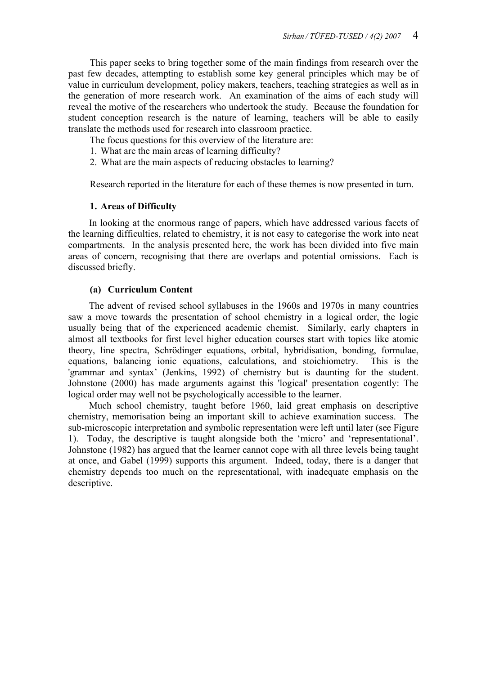This paper seeks to bring together some of the main findings from research over the past few decades, attempting to establish some key general principles which may be of value in curriculum development, policy makers, teachers, teaching strategies as well as in the generation of more research work. An examination of the aims of each study will reveal the motive of the researchers who undertook the study. Because the foundation for student conception research is the nature of learning, teachers will be able to easily translate the methods used for research into classroom practice.

The focus questions for this overview of the literature are:

- 1. What are the main areas of learning difficulty?
- 2. What are the main aspects of reducing obstacles to learning?

Research reported in the literature for each of these themes is now presented in turn.

# **1. Areas of Difficulty**

 In looking at the enormous range of papers, which have addressed various facets of the learning difficulties, related to chemistry, it is not easy to categorise the work into neat compartments. In the analysis presented here, the work has been divided into five main areas of concern, recognising that there are overlaps and potential omissions. Each is discussed briefly.

# **(a) Curriculum Content**

 The advent of revised school syllabuses in the 1960s and 1970s in many countries saw a move towards the presentation of school chemistry in a logical order, the logic usually being that of the experienced academic chemist. Similarly, early chapters in almost all textbooks for first level higher education courses start with topics like atomic theory, line spectra, Schrödinger equations, orbital, hybridisation, bonding, formulae, equations, balancing ionic equations, calculations, and stoichiometry. This is the 'grammar and syntax' (Jenkins, 1992) of chemistry but is daunting for the student. Johnstone (2000) has made arguments against this 'logical' presentation cogently: The logical order may well not be psychologically accessible to the learner.

 Much school chemistry, taught before 1960, laid great emphasis on descriptive chemistry, memorisation being an important skill to achieve examination success. The sub-microscopic interpretation and symbolic representation were left until later (see Figure 1). Today, the descriptive is taught alongside both the 'micro' and 'representational'. Johnstone (1982) has argued that the learner cannot cope with all three levels being taught at once, and Gabel (1999) supports this argument. Indeed, today, there is a danger that chemistry depends too much on the representational, with inadequate emphasis on the descriptive.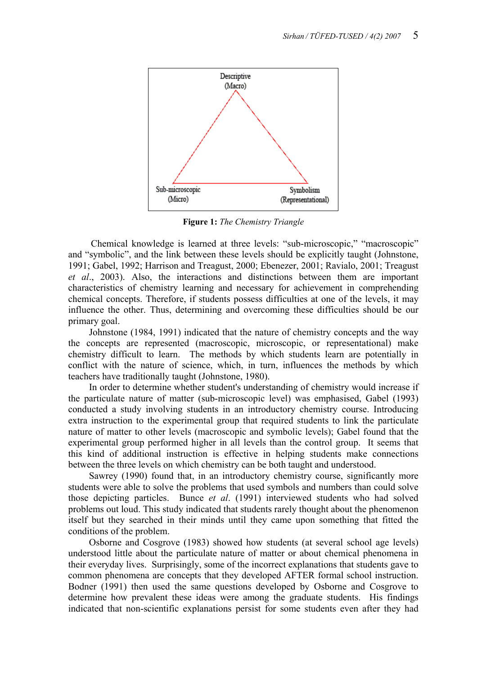

**Figure 1:** *The Chemistry Triangle*

 Chemical knowledge is learned at three levels: "sub-microscopic," "macroscopic" and "symbolic", and the link between these levels should be explicitly taught (Johnstone, 1991; Gabel, 1992; Harrison and Treagust, 2000; Ebenezer, 2001; Ravialo, 2001; Treagust *et al*., 2003). Also, the interactions and distinctions between them are important characteristics of chemistry learning and necessary for achievement in comprehending chemical concepts. Therefore, if students possess difficulties at one of the levels, it may influence the other. Thus, determining and overcoming these difficulties should be our primary goal.

 Johnstone (1984, 1991) indicated that the nature of chemistry concepts and the way the concepts are represented (macroscopic, microscopic, or representational) make chemistry difficult to learn. The methods by which students learn are potentially in conflict with the nature of science, which, in turn, influences the methods by which teachers have traditionally taught (Johnstone, 1980).

 In order to determine whether student's understanding of chemistry would increase if the particulate nature of matter (sub-microscopic level) was emphasised, Gabel (1993) conducted a study involving students in an introductory chemistry course. Introducing extra instruction to the experimental group that required students to link the particulate nature of matter to other levels (macroscopic and symbolic levels); Gabel found that the experimental group performed higher in all levels than the control group. It seems that this kind of additional instruction is effective in helping students make connections between the three levels on which chemistry can be both taught and understood.

 Sawrey (1990) found that, in an introductory chemistry course, significantly more students were able to solve the problems that used symbols and numbers than could solve those depicting particles. Bunce *et al*. (1991) interviewed students who had solved problems out loud. This study indicated that students rarely thought about the phenomenon itself but they searched in their minds until they came upon something that fitted the conditions of the problem.

 Osborne and Cosgrove (1983) showed how students (at several school age levels) understood little about the particulate nature of matter or about chemical phenomena in their everyday lives. Surprisingly, some of the incorrect explanations that students gave to common phenomena are concepts that they developed AFTER formal school instruction. Bodner (1991) then used the same questions developed by Osborne and Cosgrove to determine how prevalent these ideas were among the graduate students. His findings indicated that non-scientific explanations persist for some students even after they had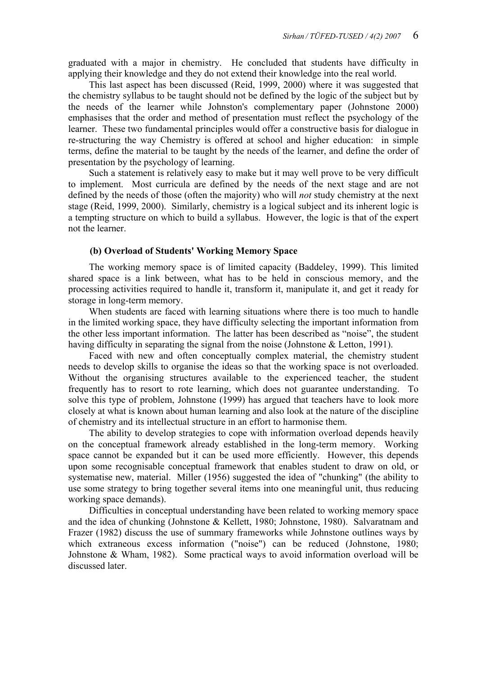graduated with a major in chemistry. He concluded that students have difficulty in applying their knowledge and they do not extend their knowledge into the real world.

 This last aspect has been discussed (Reid, 1999, 2000) where it was suggested that the chemistry syllabus to be taught should not be defined by the logic of the subject but by the needs of the learner while Johnston's complementary paper (Johnstone 2000) emphasises that the order and method of presentation must reflect the psychology of the learner. These two fundamental principles would offer a constructive basis for dialogue in re-structuring the way Chemistry is offered at school and higher education: in simple terms, define the material to be taught by the needs of the learner, and define the order of presentation by the psychology of learning.

 Such a statement is relatively easy to make but it may well prove to be very difficult to implement. Most curricula are defined by the needs of the next stage and are not defined by the needs of those (often the majority) who will *not* study chemistry at the next stage (Reid, 1999, 2000). Similarly, chemistry is a logical subject and its inherent logic is a tempting structure on which to build a syllabus. However, the logic is that of the expert not the learner.

## **(b) Overload of Students' Working Memory Space**

 The working memory space is of limited capacity (Baddeley, 1999). This limited shared space is a link between, what has to be held in conscious memory, and the processing activities required to handle it, transform it, manipulate it, and get it ready for storage in long-term memory.

 When students are faced with learning situations where there is too much to handle in the limited working space, they have difficulty selecting the important information from the other less important information. The latter has been described as "noise", the student having difficulty in separating the signal from the noise (Johnstone & Letton, 1991).

 Faced with new and often conceptually complex material, the chemistry student needs to develop skills to organise the ideas so that the working space is not overloaded. Without the organising structures available to the experienced teacher, the student frequently has to resort to rote learning, which does not guarantee understanding. To solve this type of problem, Johnstone (1999) has argued that teachers have to look more closely at what is known about human learning and also look at the nature of the discipline of chemistry and its intellectual structure in an effort to harmonise them.

 The ability to develop strategies to cope with information overload depends heavily on the conceptual framework already established in the long-term memory. Working space cannot be expanded but it can be used more efficiently. However, this depends upon some recognisable conceptual framework that enables student to draw on old, or systematise new, material. Miller (1956) suggested the idea of "chunking" (the ability to use some strategy to bring together several items into one meaningful unit, thus reducing working space demands).

 Difficulties in conceptual understanding have been related to working memory space and the idea of chunking (Johnstone & Kellett, 1980; Johnstone, 1980). Salvaratnam and Frazer (1982) discuss the use of summary frameworks while Johnstone outlines ways by which extraneous excess information ("noise") can be reduced (Johnstone, 1980; Johnstone & Wham, 1982). Some practical ways to avoid information overload will be discussed later.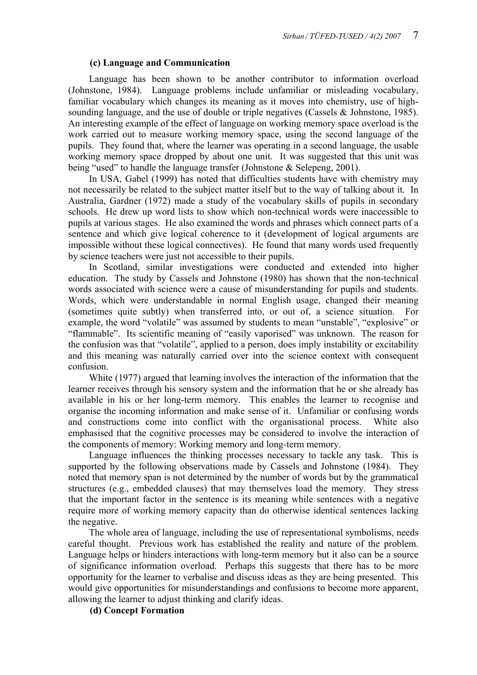## **(c) Language and Communication**

 Language has been shown to be another contributor to information overload (Johnstone, 1984). Language problems include unfamiliar or misleading vocabulary, familiar vocabulary which changes its meaning as it moves into chemistry, use of highsounding language, and the use of double or triple negatives (Cassels  $&$  Johnstone, 1985). An interesting example of the effect of language on working memory space overload is the work carried out to measure working memory space, using the second language of the pupils. They found that, where the learner was operating in a second language, the usable working memory space dropped by about one unit. It was suggested that this unit was being "used" to handle the language transfer (Johnstone & Selepeng, 2001).

 In USA, Gabel (1999) has noted that difficulties students have with chemistry may not necessarily be related to the subject matter itself but to the way of talking about it. In Australia, Gardner (1972) made a study of the vocabulary skills of pupils in secondary schools. He drew up word lists to show which non-technical words were inaccessible to pupils at various stages. He also examined the words and phrases which connect parts of a sentence and which give logical coherence to it (development of logical arguments are impossible without these logical connectives). He found that many words used frequently by science teachers were just not accessible to their pupils.

 In Scotland, similar investigations were conducted and extended into higher education. The study by Cassels and Johnstone (1980) has shown that the non-technical words associated with science were a cause of misunderstanding for pupils and students. Words, which were understandable in normal English usage, changed their meaning (sometimes quite subtly) when transferred into, or out of, a science situation. For example, the word "volatile" was assumed by students to mean "unstable", "explosive" or "flammable". Its scientific meaning of "easily vaporised" was unknown. The reason for the confusion was that "volatile", applied to a person, does imply instability or excitability and this meaning was naturally carried over into the science context with consequent confusion.

 White (1977) argued that learning involves the interaction of the information that the learner receives through his sensory system and the information that he or she already has available in his or her long-term memory. This enables the learner to recognise and organise the incoming information and make sense of it. Unfamiliar or confusing words and constructions come into conflict with the organisational process. White also emphasised that the cognitive processes may be considered to involve the interaction of the components of memory: Working memory and long-term memory.

 Language influences the thinking processes necessary to tackle any task. This is supported by the following observations made by Cassels and Johnstone (1984). They noted that memory span is not determined by the number of words but by the grammatical structures (e.g., embedded clauses) that may themselves load the memory. They stress that the important factor in the sentence is its meaning while sentences with a negative require more of working memory capacity than do otherwise identical sentences lacking the negative.

 The whole area of language, including the use of representational symbolisms, needs careful thought. Previous work has established the reality and nature of the problem. Language helps or hinders interactions with long-term memory but it also can be a source of significance information overload. Perhaps this suggests that there has to be more opportunity for the learner to verbalise and discuss ideas as they are being presented. This would give opportunities for misunderstandings and confusions to become more apparent, allowing the learner to adjust thinking and clarify ideas.

**(d) Concept Formation**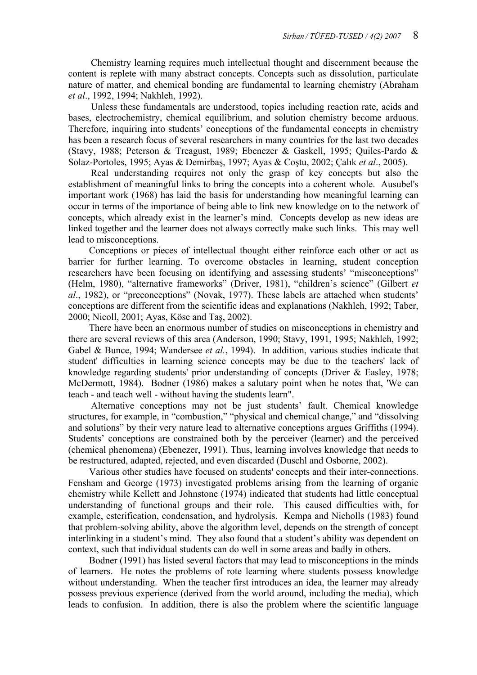Chemistry learning requires much intellectual thought and discernment because the content is replete with many abstract concepts. Concepts such as dissolution, particulate nature of matter, and chemical bonding are fundamental to learning chemistry (Abraham *et al*., 1992, 1994; Nakhleh, 1992).

 Unless these fundamentals are understood, topics including reaction rate, acids and bases, electrochemistry, chemical equilibrium, and solution chemistry become arduous. Therefore, inquiring into students' conceptions of the fundamental concepts in chemistry has been a research focus of several researchers in many countries for the last two decades (Stavy, 1988; Peterson & Treagust, 1989; Ebenezer & Gaskell, 1995; Quiles-Pardo & Solaz-Portoles, 1995; Ayas & Demirbaş, 1997; Ayas & Coştu, 2002; Çalık *et al*., 2005).

 Real understanding requires not only the grasp of key concepts but also the establishment of meaningful links to bring the concepts into a coherent whole. Ausubel's important work (1968) has laid the basis for understanding how meaningful learning can occur in terms of the importance of being able to link new knowledge on to the network of concepts, which already exist in the learner's mind. Concepts develop as new ideas are linked together and the learner does not always correctly make such links. This may well lead to misconceptions.

 Conceptions or pieces of intellectual thought either reinforce each other or act as barrier for further learning. To overcome obstacles in learning, student conception researchers have been focusing on identifying and assessing students' "misconceptions" (Helm, 1980), "alternative frameworks" (Driver, 1981), "children's science" (Gilbert *et al*., 1982), or "preconceptions" (Novak, 1977). These labels are attached when students' conceptions are different from the scientific ideas and explanations (Nakhleh, 1992; Taber, 2000; Nicoll, 2001; Ayas, Köse and Taş, 2002).

 There have been an enormous number of studies on misconceptions in chemistry and there are several reviews of this area (Anderson, 1990; Stavy, 1991, 1995; Nakhleh, 1992; Gabel & Bunce, 1994; Wandersee *et al.*, 1994). In addition, various studies indicate that student' difficulties in learning science concepts may be due to the teachers' lack of knowledge regarding students' prior understanding of concepts (Driver & Easley, 1978; McDermott, 1984). Bodner (1986) makes a salutary point when he notes that, 'We can teach - and teach well - without having the students learn".

 Alternative conceptions may not be just students' fault. Chemical knowledge structures, for example, in "combustion," "physical and chemical change," and "dissolving and solutions" by their very nature lead to alternative conceptions argues Griffiths (1994). Students' conceptions are constrained both by the perceiver (learner) and the perceived (chemical phenomena) (Ebenezer, 1991). Thus, learning involves knowledge that needs to be restructured, adapted, rejected, and even discarded (Duschl and Osborne, 2002).

 Various other studies have focused on students' concepts and their inter-connections. Fensham and George (1973) investigated problems arising from the learning of organic chemistry while Kellett and Johnstone (1974) indicated that students had little conceptual understanding of functional groups and their role. This caused difficulties with, for example, esterification, condensation, and hydrolysis. Kempa and Nicholls (1983) found that problem-solving ability, above the algorithm level, depends on the strength of concept interlinking in a student's mind. They also found that a student's ability was dependent on context, such that individual students can do well in some areas and badly in others.

 Bodner (1991) has listed several factors that may lead to misconceptions in the minds of learners. He notes the problems of rote learning where students possess knowledge without understanding. When the teacher first introduces an idea, the learner may already possess previous experience (derived from the world around, including the media), which leads to confusion. In addition, there is also the problem where the scientific language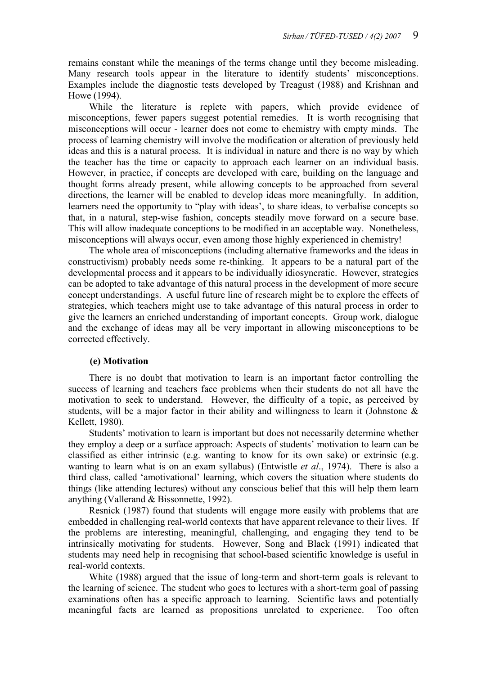remains constant while the meanings of the terms change until they become misleading. Many research tools appear in the literature to identify students' misconceptions. Examples include the diagnostic tests developed by Treagust (1988) and Krishnan and Howe (1994).

 While the literature is replete with papers, which provide evidence of misconceptions, fewer papers suggest potential remedies. It is worth recognising that misconceptions will occur - learner does not come to chemistry with empty minds. The process of learning chemistry will involve the modification or alteration of previously held ideas and this is a natural process. It is individual in nature and there is no way by which the teacher has the time or capacity to approach each learner on an individual basis. However, in practice, if concepts are developed with care, building on the language and thought forms already present, while allowing concepts to be approached from several directions, the learner will be enabled to develop ideas more meaningfully. In addition, learners need the opportunity to "play with ideas', to share ideas, to verbalise concepts so that, in a natural, step-wise fashion, concepts steadily move forward on a secure base. This will allow inadequate conceptions to be modified in an acceptable way. Nonetheless, misconceptions will always occur, even among those highly experienced in chemistry!

 The whole area of misconceptions (including alternative frameworks and the ideas in constructivism) probably needs some re-thinking. It appears to be a natural part of the developmental process and it appears to be individually idiosyncratic. However, strategies can be adopted to take advantage of this natural process in the development of more secure concept understandings. A useful future line of research might be to explore the effects of strategies, which teachers might use to take advantage of this natural process in order to give the learners an enriched understanding of important concepts. Group work, dialogue and the exchange of ideas may all be very important in allowing misconceptions to be corrected effectively.

#### **(e) Motivation**

 There is no doubt that motivation to learn is an important factor controlling the success of learning and teachers face problems when their students do not all have the motivation to seek to understand. However, the difficulty of a topic, as perceived by students, will be a major factor in their ability and willingness to learn it (Johnstone & Kellett, 1980).

 Students' motivation to learn is important but does not necessarily determine whether they employ a deep or a surface approach: Aspects of students' motivation to learn can be classified as either intrinsic (e.g. wanting to know for its own sake) or extrinsic (e.g. wanting to learn what is on an exam syllabus) (Entwistle *et al*., 1974). There is also a third class, called 'amotivational' learning, which covers the situation where students do things (like attending lectures) without any conscious belief that this will help them learn anything (Vallerand & Bissonnette, 1992).

 Resnick (1987) found that students will engage more easily with problems that are embedded in challenging real-world contexts that have apparent relevance to their lives. If the problems are interesting, meaningful, challenging, and engaging they tend to be intrinsically motivating for students. However, Song and Black (1991) indicated that students may need help in recognising that school-based scientific knowledge is useful in real-world contexts.

 White (1988) argued that the issue of long-term and short-term goals is relevant to the learning of science. The student who goes to lectures with a short-term goal of passing examinations often has a specific approach to learning. Scientific laws and potentially meaningful facts are learned as propositions unrelated to experience. Too often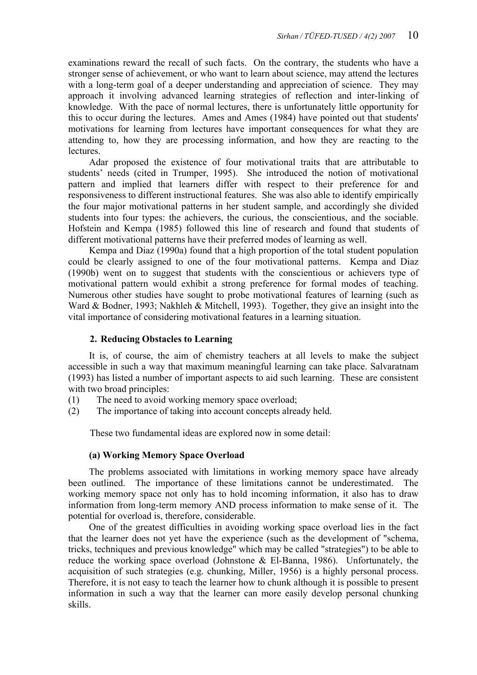examinations reward the recall of such facts. On the contrary, the students who have a stronger sense of achievement, or who want to learn about science, may attend the lectures with a long-term goal of a deeper understanding and appreciation of science. They may approach it involving advanced learning strategies of reflection and inter-linking of knowledge. With the pace of normal lectures, there is unfortunately little opportunity for this to occur during the lectures. Ames and Ames (1984) have pointed out that students' motivations for learning from lectures have important consequences for what they are attending to, how they are processing information, and how they are reacting to the lectures.

 Adar proposed the existence of four motivational traits that are attributable to students' needs (cited in Trumper, 1995). She introduced the notion of motivational pattern and implied that learners differ with respect to their preference for and responsiveness to different instructional features. She was also able to identify empirically the four major motivational patterns in her student sample, and accordingly she divided students into four types: the achievers, the curious, the conscientious, and the sociable. Hofstein and Kempa (1985) followed this line of research and found that students of different motivational patterns have their preferred modes of learning as well.

 Kempa and Diaz (1990a) found that a high proportion of the total student population could be clearly assigned to one of the four motivational patterns. Kempa and Diaz (1990b) went on to suggest that students with the conscientious or achievers type of motivational pattern would exhibit a strong preference for formal modes of teaching. Numerous other studies have sought to probe motivational features of learning (such as Ward & Bodner, 1993; Nakhleh & Mitchell, 1993). Together, they give an insight into the vital importance of considering motivational features in a learning situation.

# **2. Reducing Obstacles to Learning**

 It is, of course, the aim of chemistry teachers at all levels to make the subject accessible in such a way that maximum meaningful learning can take place. Salvaratnam (1993) has listed a number of important aspects to aid such learning. These are consistent with two broad principles:

- (1) The need to avoid working memory space overload;
- (2) The importance of taking into account concepts already held.

These two fundamental ideas are explored now in some detail:

# **(a) Working Memory Space Overload**

 The problems associated with limitations in working memory space have already been outlined. The importance of these limitations cannot be underestimated. The working memory space not only has to hold incoming information, it also has to draw information from long-term memory AND process information to make sense of it. The potential for overload is, therefore, considerable.

 One of the greatest difficulties in avoiding working space overload lies in the fact that the learner does not yet have the experience (such as the development of "schema, tricks, techniques and previous knowledge" which may be called "strategies") to be able to reduce the working space overload (Johnstone  $\&$  El-Banna, 1986). Unfortunately, the acquisition of such strategies (e.g. chunking, Miller, 1956) is a highly personal process. Therefore, it is not easy to teach the learner how to chunk although it is possible to present information in such a way that the learner can more easily develop personal chunking skills.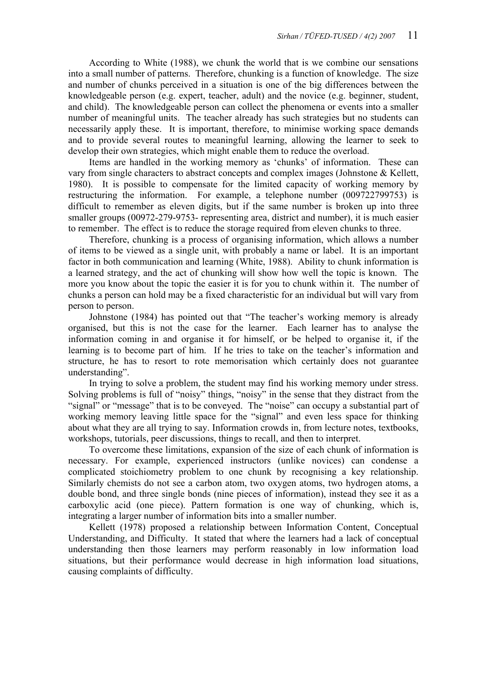According to White (1988), we chunk the world that is we combine our sensations into a small number of patterns. Therefore, chunking is a function of knowledge. The size and number of chunks perceived in a situation is one of the big differences between the knowledgeable person (e.g. expert, teacher, adult) and the novice (e.g. beginner, student, and child). The knowledgeable person can collect the phenomena or events into a smaller number of meaningful units. The teacher already has such strategies but no students can necessarily apply these. It is important, therefore, to minimise working space demands and to provide several routes to meaningful learning, allowing the learner to seek to develop their own strategies, which might enable them to reduce the overload.

 Items are handled in the working memory as 'chunks' of information. These can vary from single characters to abstract concepts and complex images (Johnstone & Kellett, 1980). It is possible to compensate for the limited capacity of working memory by restructuring the information. For example, a telephone number (009722799753) is difficult to remember as eleven digits, but if the same number is broken up into three smaller groups (00972-279-9753- representing area, district and number), it is much easier to remember. The effect is to reduce the storage required from eleven chunks to three.

 Therefore, chunking is a process of organising information, which allows a number of items to be viewed as a single unit, with probably a name or label. It is an important factor in both communication and learning (White, 1988). Ability to chunk information is a learned strategy, and the act of chunking will show how well the topic is known. The more you know about the topic the easier it is for you to chunk within it. The number of chunks a person can hold may be a fixed characteristic for an individual but will vary from person to person.

 Johnstone (1984) has pointed out that "The teacher's working memory is already organised, but this is not the case for the learner. Each learner has to analyse the information coming in and organise it for himself, or be helped to organise it, if the learning is to become part of him. If he tries to take on the teacher's information and structure, he has to resort to rote memorisation which certainly does not guarantee understanding".

 In trying to solve a problem, the student may find his working memory under stress. Solving problems is full of "noisy" things, "noisy" in the sense that they distract from the "signal" or "message" that is to be conveyed. The "noise" can occupy a substantial part of working memory leaving little space for the "signal" and even less space for thinking about what they are all trying to say. Information crowds in, from lecture notes, textbooks, workshops, tutorials, peer discussions, things to recall, and then to interpret.

To overcome these limitations, expansion of the size of each chunk of information is necessary. For example, experienced instructors (unlike novices) can condense a complicated stoichiometry problem to one chunk by recognising a key relationship. Similarly chemists do not see a carbon atom, two oxygen atoms, two hydrogen atoms, a double bond, and three single bonds (nine pieces of information), instead they see it as a carboxylic acid (one piece). Pattern formation is one way of chunking, which is, integrating a larger number of information bits into a smaller number.

 Kellett (1978) proposed a relationship between Information Content, Conceptual Understanding, and Difficulty. It stated that where the learners had a lack of conceptual understanding then those learners may perform reasonably in low information load situations, but their performance would decrease in high information load situations, causing complaints of difficulty.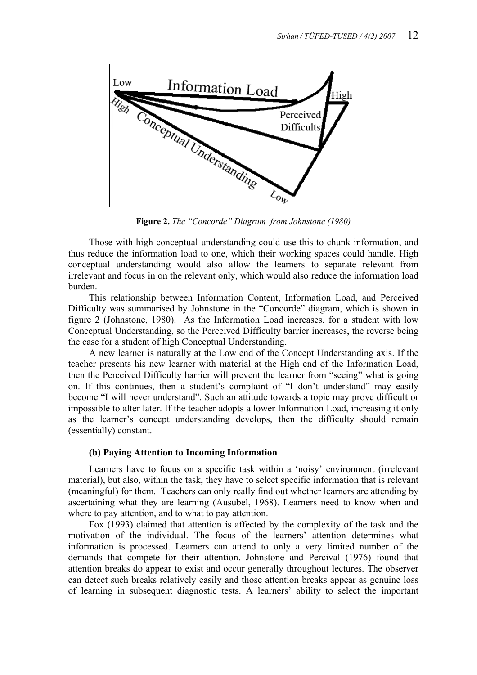

**Figure 2.** *The "Concorde" Diagram from Johnstone (1980)*

 Those with high conceptual understanding could use this to chunk information, and thus reduce the information load to one, which their working spaces could handle. High conceptual understanding would also allow the learners to separate relevant from irrelevant and focus in on the relevant only, which would also reduce the information load burden.

 This relationship between Information Content, Information Load, and Perceived Difficulty was summarised by Johnstone in the "Concorde" diagram, which is shown in figure 2 (Johnstone, 1980). As the Information Load increases, for a student with low Conceptual Understanding, so the Perceived Difficulty barrier increases, the reverse being the case for a student of high Conceptual Understanding.

 A new learner is naturally at the Low end of the Concept Understanding axis. If the teacher presents his new learner with material at the High end of the Information Load, then the Perceived Difficulty barrier will prevent the learner from "seeing" what is going on. If this continues, then a student's complaint of "I don't understand" may easily become "I will never understand". Such an attitude towards a topic may prove difficult or impossible to alter later. If the teacher adopts a lower Information Load, increasing it only as the learner's concept understanding develops, then the difficulty should remain (essentially) constant.

#### **(b) Paying Attention to Incoming Information**

 Learners have to focus on a specific task within a 'noisy' environment (irrelevant material), but also, within the task, they have to select specific information that is relevant (meaningful) for them. Teachers can only really find out whether learners are attending by ascertaining what they are learning (Ausubel, 1968). Learners need to know when and where to pay attention, and to what to pay attention.

 Fox (1993) claimed that attention is affected by the complexity of the task and the motivation of the individual. The focus of the learners' attention determines what information is processed. Learners can attend to only a very limited number of the demands that compete for their attention. Johnstone and Percival (1976) found that attention breaks do appear to exist and occur generally throughout lectures. The observer can detect such breaks relatively easily and those attention breaks appear as genuine loss of learning in subsequent diagnostic tests. A learners' ability to select the important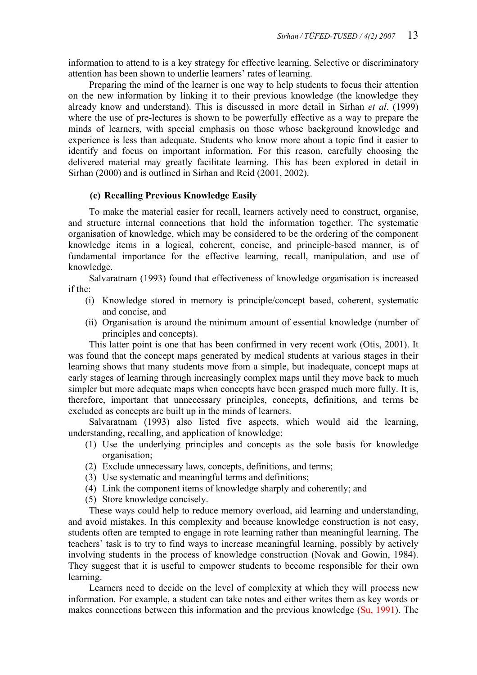information to attend to is a key strategy for effective learning. Selective or discriminatory attention has been shown to underlie learners' rates of learning.

 Preparing the mind of the learner is one way to help students to focus their attention on the new information by linking it to their previous knowledge (the knowledge they already know and understand). This is discussed in more detail in Sirhan *et al*. (1999) where the use of pre-lectures is shown to be powerfully effective as a way to prepare the minds of learners, with special emphasis on those whose background knowledge and experience is less than adequate. Students who know more about a topic find it easier to identify and focus on important information. For this reason, carefully choosing the delivered material may greatly facilitate learning. This has been explored in detail in Sirhan (2000) and is outlined in Sirhan and Reid (2001, 2002).

# **(c) Recalling Previous Knowledge Easily**

 To make the material easier for recall, learners actively need to construct, organise, and structure internal connections that hold the information together. The systematic organisation of knowledge, which may be considered to be the ordering of the component knowledge items in a logical, coherent, concise, and principle-based manner, is of fundamental importance for the effective learning, recall, manipulation, and use of knowledge.

 Salvaratnam (1993) found that effectiveness of knowledge organisation is increased if the:

- (i) Knowledge stored in memory is principle/concept based, coherent, systematic and concise, and
- (ii) Organisation is around the minimum amount of essential knowledge (number of principles and concepts).

 This latter point is one that has been confirmed in very recent work (Otis, 2001). It was found that the concept maps generated by medical students at various stages in their learning shows that many students move from a simple, but inadequate, concept maps at early stages of learning through increasingly complex maps until they move back to much simpler but more adequate maps when concepts have been grasped much more fully. It is, therefore, important that unnecessary principles, concepts, definitions, and terms be excluded as concepts are built up in the minds of learners.

 Salvaratnam (1993) also listed five aspects, which would aid the learning, understanding, recalling, and application of knowledge:

- (1) Use the underlying principles and concepts as the sole basis for knowledge organisation;
- (2) Exclude unnecessary laws, concepts, definitions, and terms;
- (3) Use systematic and meaningful terms and definitions;
- (4) Link the component items of knowledge sharply and coherently; and
- (5) Store knowledge concisely.

 These ways could help to reduce memory overload, aid learning and understanding, and avoid mistakes. In this complexity and because knowledge construction is not easy, students often are tempted to engage in rote learning rather than meaningful learning. The teachers' task is to try to find ways to increase meaningful learning, possibly by actively involving students in the process of knowledge construction (Novak and Gowin, 1984). They suggest that it is useful to empower students to become responsible for their own learning.

 Learners need to decide on the level of complexity at which they will process new information. For example, a student can take notes and either writes them as key words or makes connections between this information and the previous knowledge (Su, 1991). The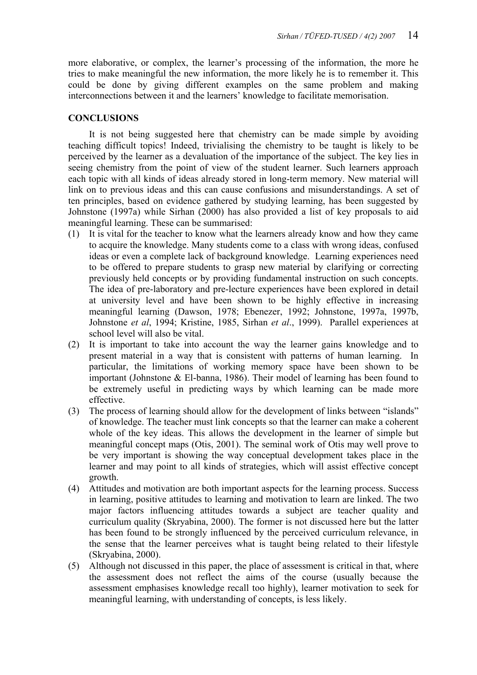more elaborative, or complex, the learner's processing of the information, the more he tries to make meaningful the new information, the more likely he is to remember it. This could be done by giving different examples on the same problem and making interconnections between it and the learners' knowledge to facilitate memorisation.

## **CONCLUSIONS**

 It is not being suggested here that chemistry can be made simple by avoiding teaching difficult topics! Indeed, trivialising the chemistry to be taught is likely to be perceived by the learner as a devaluation of the importance of the subject. The key lies in seeing chemistry from the point of view of the student learner. Such learners approach each topic with all kinds of ideas already stored in long-term memory. New material will link on to previous ideas and this can cause confusions and misunderstandings. A set of ten principles, based on evidence gathered by studying learning, has been suggested by Johnstone (1997a) while Sirhan (2000) has also provided a list of key proposals to aid meaningful learning. These can be summarised:

- (1) It is vital for the teacher to know what the learners already know and how they came to acquire the knowledge. Many students come to a class with wrong ideas, confused ideas or even a complete lack of background knowledge. Learning experiences need to be offered to prepare students to grasp new material by clarifying or correcting previously held concepts or by providing fundamental instruction on such concepts. The idea of pre-laboratory and pre-lecture experiences have been explored in detail at university level and have been shown to be highly effective in increasing meaningful learning (Dawson, 1978; Ebenezer, 1992; Johnstone, 1997a, 1997b, Johnstone *et al*, 1994; Kristine, 1985, Sirhan *et al*., 1999). Parallel experiences at school level will also be vital.
- (2) It is important to take into account the way the learner gains knowledge and to present material in a way that is consistent with patterns of human learning. In particular, the limitations of working memory space have been shown to be important (Johnstone  $&$  El-banna, 1986). Their model of learning has been found to be extremely useful in predicting ways by which learning can be made more effective.
- (3) The process of learning should allow for the development of links between "islands" of knowledge. The teacher must link concepts so that the learner can make a coherent whole of the key ideas. This allows the development in the learner of simple but meaningful concept maps (Otis, 2001). The seminal work of Otis may well prove to be very important is showing the way conceptual development takes place in the learner and may point to all kinds of strategies, which will assist effective concept growth.
- (4) Attitudes and motivation are both important aspects for the learning process. Success in learning, positive attitudes to learning and motivation to learn are linked. The two major factors influencing attitudes towards a subject are teacher quality and curriculum quality (Skryabina, 2000). The former is not discussed here but the latter has been found to be strongly influenced by the perceived curriculum relevance, in the sense that the learner perceives what is taught being related to their lifestyle (Skryabina, 2000).
- (5) Although not discussed in this paper, the place of assessment is critical in that, where the assessment does not reflect the aims of the course (usually because the assessment emphasises knowledge recall too highly), learner motivation to seek for meaningful learning, with understanding of concepts, is less likely.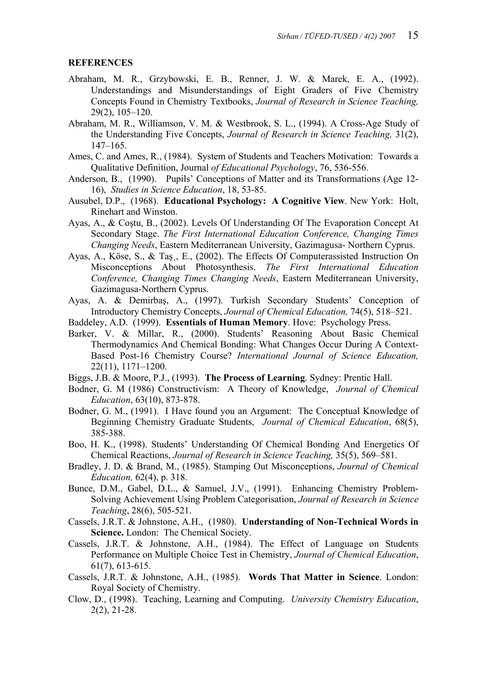#### **REFERENCES**

- Abraham, M. R., Grzybowski, E. B., Renner, J. W. & Marek, E. A., (1992). Understandings and Misunderstandings of Eight Graders of Five Chemistry Concepts Found in Chemistry Textbooks, *Journal of Research in Science Teaching,*  29(2), 105–120.
- Abraham, M. R., Williamson, V. M. & Westbrook, S. L., (1994). A Cross-Age Study of the Understanding Five Concepts, *Journal of Research in Science Teaching,* 31(2), 147–165.
- Ames, C. and Ames, R., (1984). System of Students and Teachers Motivation: Towards a Qualitative Definition, Journal *of Educational Psychology*, 76, 536-556.
- Anderson, B., (1990). Pupils' Conceptions of Matter and its Transformations (Age 12- 16), *Studies in Science Education*, 18, 53-85.
- Ausubel, D.P., (1968). **Educational Psychology: A Cognitive View**. New York: Holt, Rinehart and Winston.
- Ayas, A., & Coştu, B., (2002). Levels Of Understanding Of The Evaporation Concept At Secondary Stage. *The First International Education Conference, Changing Times Changing Needs*, Eastern Mediterranean University, Gazimagusa- Northern Cyprus.
- Ayas, A., Köse, S., & Taş¸, E., (2002). The Effects Of Computerassisted Instruction On Misconceptions About Photosynthesis. *The First International Education Conference, Changing Times Changing Needs*, Eastern Mediterranean University, Gazimagusa-Northern Cyprus.
- Ayas, A. & Demirbaş, A., (1997). Turkish Secondary Students' Conception of Introductory Chemistry Concepts, *Journal of Chemical Education,* 74(5), 518–521.
- Baddeley, A.D. (1999). **Essentials of Human Memory**. Hove: Psychology Press.
- Barker, V. & Millar, R., (2000). Students' Reasoning About Basic Chemical Thermodynamics And Chemical Bonding: What Changes Occur During A Context-Based Post-16 Chemistry Course? *International Journal of Science Education,*  22(11), 1171–1200.
- Biggs, J.B. & Moore, P.J., (1993). **The Process of Learning**. Sydney: Prentic Hall.
- Bodner, G. M (1986) Constructivism: A Theory of Knowledge, *Journal of Chemical Education*, 63(10), 873-878.
- Bodner, G. M., (1991). I Have found you an Argument: The Conceptual Knowledge of Beginning Chemistry Graduate Students, *Journal of Chemical Education*, 68(5), 385-388.
- Boo, H. K., (1998). Students' Understanding Of Chemical Bonding And Energetics Of Chemical Reactions, *Journal of Research in Science Teaching,* 35(5), 569–581.
- Bradley, J. D. & Brand, M., (1985). Stamping Out Misconceptions, *Journal of Chemical Education,* 62(4), p. 318.
- Bunce, D.M., Gabel, D.L., & Samuel, J.V., (1991). Enhancing Chemistry Problem-Solving Achievement Using Problem Categorisation, *Journal of Research in Science Teaching*, 28(6), 505-521.
- Cassels, J.R.T. & Johnstone, A.H., (1980). **Understanding of Non-Technical Words in Science.** London: The Chemical Society.
- Cassels, J.R.T. & Johnstone, A.H., (1984). The Effect of Language on Students Performance on Multiple Choice Test in Chemistry, *Journal of Chemical Education*, 61(7), 613-615.
- Cassels, J.R.T. & Johnstone, A.H., (1985). **Words That Matter in Science**. London: Royal Society of Chemistry.
- Clow, D., (1998). Teaching, Learning and Computing. *University Chemistry Education*, 2(2), 21-28.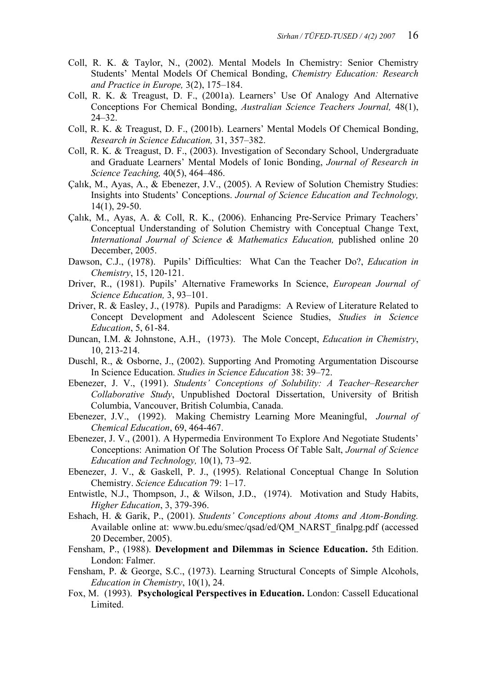- Coll, R. K. & Taylor, N., (2002). Mental Models In Chemistry: Senior Chemistry Students' Mental Models Of Chemical Bonding, *Chemistry Education: Research and Practice in Europe,* 3(2), 175–184.
- Coll, R. K. & Treagust, D. F., (2001a). Learners' Use Of Analogy And Alternative Conceptions For Chemical Bonding, *Australian Science Teachers Journal,* 48(1), 24–32.
- Coll, R. K. & Treagust, D. F., (2001b). Learners' Mental Models Of Chemical Bonding, *Research in Science Education,* 31, 357–382.
- Coll, R. K. & Treagust, D. F., (2003). Investigation of Secondary School, Undergraduate and Graduate Learners' Mental Models of Ionic Bonding, *Journal of Research in Science Teaching,* 40(5), 464–486.
- Çalık, M., Ayas, A., & Ebenezer, J.V., (2005). A Review of Solution Chemistry Studies: Insights into Students' Conceptions. *Journal of Science Education and Technology,*  14(1), 29-50.
- Çalık, M., Ayas, A. & Coll, R. K., (2006). Enhancing Pre-Service Primary Teachers' Conceptual Understanding of Solution Chemistry with Conceptual Change Text, *International Journal of Science & Mathematics Education,* published online 20 December, 2005.
- Dawson, C.J., (1978). Pupils' Difficulties: What Can the Teacher Do?, *Education in Chemistry*, 15, 120-121.
- Driver, R., (1981). Pupils' Alternative Frameworks In Science, *European Journal of Science Education,* 3, 93–101.
- Driver, R. & Easley, J., (1978). Pupils and Paradigms: A Review of Literature Related to Concept Development and Adolescent Science Studies, *Studies in Science Education*, 5, 61-84.
- Duncan, I.M. & Johnstone, A.H., (1973). The Mole Concept, *Education in Chemistry*, 10, 213-214.
- Duschl, R., & Osborne, J., (2002). Supporting And Promoting Argumentation Discourse In Science Education. *Studies in Science Education* 38: 39–72.
- Ebenezer, J. V., (1991). *Students' Conceptions of Solubility: A Teacher–Researcher Collaborative Study*, Unpublished Doctoral Dissertation, University of British Columbia, Vancouver, British Columbia, Canada.
- Ebenezer, J.V., (1992). Making Chemistry Learning More Meaningful, *Journal of Chemical Education*, 69, 464-467.
- Ebenezer, J. V., (2001). A Hypermedia Environment To Explore And Negotiate Students' Conceptions: Animation Of The Solution Process Of Table Salt, *Journal of Science Education and Technology,* 10(1), 73–92.
- Ebenezer, J. V., & Gaskell, P. J., (1995). Relational Conceptual Change In Solution Chemistry. *Science Education* 79: 1–17.
- Entwistle, N.J., Thompson, J., & Wilson, J.D., (1974). Motivation and Study Habits, *Higher Education*, 3, 379-396.
- Eshach, H. & Garik, P., (2001). *Students' Conceptions about Atoms and Atom-Bonding.*  Available online at: www.bu.edu/smec/qsad/ed/QM\_NARST\_finalpg.pdf (accessed 20 December, 2005).
- Fensham, P., (1988). **Development and Dilemmas in Science Education.** 5th Edition. London: Falmer.
- Fensham, P. & George, S.C., (1973). Learning Structural Concepts of Simple Alcohols, *Education in Chemistry*, 10(1), 24.
- Fox, M. (1993). **Psychological Perspectives in Education.** London: Cassell Educational Limited.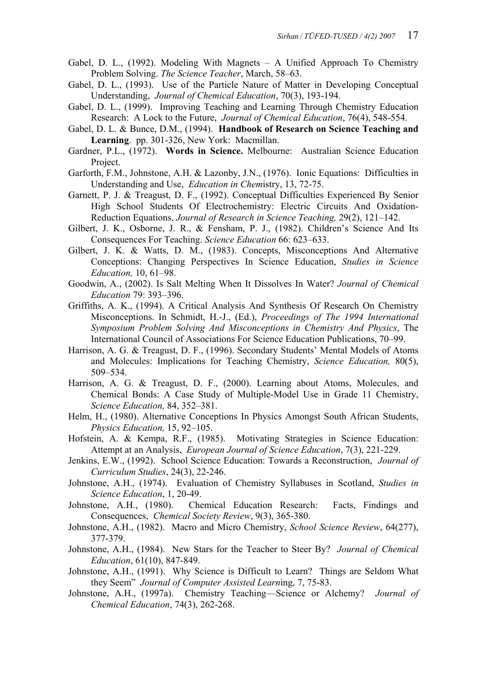- Gabel, D. L., (1992). Modeling With Magnets A Unified Approach To Chemistry Problem Solving. *The Science Teacher*, March, 58–63.
- Gabel, D. L., (1993). Use of the Particle Nature of Matter in Developing Conceptual Understanding, *Journal of Chemical Education*, 70(3), 193-194.
- Gabel, D. L., (1999). Improving Teaching and Learning Through Chemistry Education Research: A Lock to the Future, *Journal of Chemical Education*, 76(4), 548-554.
- Gabel, D. L. & Bunce, D.M., (1994). **Handbook of Research on Science Teaching and Learning**. pp. 301-326, New York: Macmillan.
- Gardner, P.L., (1972). **Words in Science.** Melbourne: Australian Science Education Project.
- Garforth, F.M., Johnstone, A.H. & Lazonby, J.N., (1976). Ionic Equations: Difficulties in Understanding and Use, *Education in Chem*istry, 13, 72-75.
- Garnett, P. J. & Treagust, D. F., (1992). Conceptual Difficulties Experienced By Senior High School Students Of Electrochemistry: Electric Circuits And Oxidation-Reduction Equations, *Journal of Research in Science Teaching,* 29(2), 121–142.
- Gilbert, J. K., Osborne, J. R., & Fensham, P. J., (1982). Children's Science And Its Consequences For Teaching. *Science Education* 66: 623–633.
- Gilbert, J. K. & Watts, D. M., (1983). Concepts, Misconceptions And Alternative Conceptions: Changing Perspectives In Science Education, *Studies in Science Education,* 10, 61–98.
- Goodwin, A., (2002). Is Salt Melting When It Dissolves In Water? *Journal of Chemical Education* 79: 393–396.
- Griffiths, A. K., (1994). A Critical Analysis And Synthesis Of Research On Chemistry Misconceptions. In Schmidt, H.-J., (Ed.), *Proceedings of The 1994 International Symposium Problem Solving And Misconceptions in Chemistry And Physics*, The International Council of Associations For Science Education Publications, 70–99.
- Harrison, A. G. & Treagust, D. F., (1996). Secondary Students' Mental Models of Atoms and Molecules: Implications for Teaching Chemistry, *Science Education,* 80(5), 509–534.
- Harrison, A. G. & Treagust, D. F., (2000). Learning about Atoms, Molecules, and Chemical Bonds: A Case Study of Multiple-Model Use in Grade 11 Chemistry, *Science Education,* 84, 352–381.
- Helm, H., (1980). Alternative Conceptions In Physics Amongst South African Students, *Physics Education,* 15, 92–105.
- Hofstein, A. & Kempa, R.F., (1985). Motivating Strategies in Science Education: Attempt at an Analysis, *European Journal of Science Education*, 7(3), 221-229.
- Jenkins, E.W., (1992). School Science Education: Towards a Reconstruction, *Journal of Curriculum Studies*, 24(3), 22-246.
- Johnstone, A.H., (1974). Evaluation of Chemistry Syllabuses in Scotland, *Studies in Science Education*, 1, 20-49.
- Johnstone, A.H., (1980). Chemical Education Research: Facts, Findings and Consequences, *Chemical Society Review*, 9(3), 365-380.
- Johnstone, A.H., (1982). Macro and Micro Chemistry, *School Science Review*, 64(277), 377-379.
- Johnstone, A.H., (1984). New Stars for the Teacher to Steer By? *Journal of Chemical Education*, 61(10), 847-849.
- Johnstone, A.H., (1991). Why Science is Difficult to Learn? Things are Seldom What they Seem" *Journal of Computer Assisted Learn*ing, 7, 75-83.
- Johnstone, A.H., (1997a). Chemistry Teaching—Science or Alchemy? *Journal of Chemical Education*, 74(3), 262-268.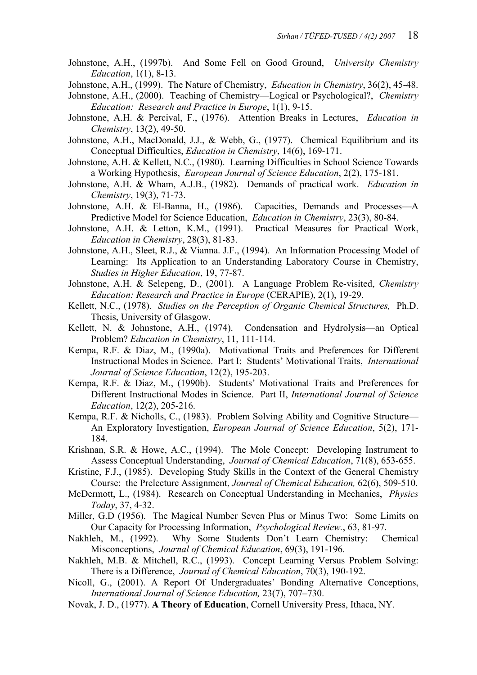- Johnstone, A.H., (1997b). And Some Fell on Good Ground, *University Chemistry Education*, 1(1), 8-13.
- Johnstone, A.H., (1999). The Nature of Chemistry, *Education in Chemistry*, 36(2), 45-48.
- Johnstone, A.H., (2000). Teaching of Chemistry—Logical or Psychological?, *Chemistry Education: Research and Practice in Europe*, 1(1), 9-15.
- Johnstone, A.H. & Percival, F., (1976). Attention Breaks in Lectures, *Education in Chemistry*, 13(2), 49-50.
- Johnstone, A.H., MacDonald, J.J., & Webb, G., (1977). Chemical Equilibrium and its Conceptual Difficulties, *Education in Chemistry*, 14(6), 169-171.
- Johnstone, A.H. & Kellett, N.C., (1980). Learning Difficulties in School Science Towards a Working Hypothesis, *European Journal of Science Education*, 2(2), 175-181.
- Johnstone, A.H. & Wham, A.J.B., (1982). Demands of practical work. *Education in Chemistry*, 19(3), 71-73.
- Johnstone, A.H. & El-Banna, H., (1986). Capacities, Demands and Processes—A Predictive Model for Science Education, *Education in Chemistry*, 23(3), 80-84.
- Johnstone, A.H. & Letton, K.M., (1991). Practical Measures for Practical Work, *Education in Chemistry*, 28(3), 81-83.
- Johnstone, A.H., Sleet, R.J., & Vianna. J.F., (1994). An Information Processing Model of Learning: Its Application to an Understanding Laboratory Course in Chemistry, *Studies in Higher Education*, 19, 77-87.
- Johnstone, A.H. & Selepeng, D., (2001). A Language Problem Re-visited, *Chemistry Education: Research and Practice in Europe* (CERAPIE), 2(1), 19-29.
- Kellett, N.C., (1978). *Studies on the Perception of Organic Chemical Structures,* Ph.D. Thesis, University of Glasgow.
- Kellett, N. & Johnstone, A.H., (1974). Condensation and Hydrolysis—an Optical Problem? *Education in Chemistry*, 11, 111-114.
- Kempa, R.F. & Diaz, M., (1990a). Motivational Traits and Preferences for Different Instructional Modes in Science. Part I: Students' Motivational Traits, *International Journal of Science Education*, 12(2), 195-203.
- Kempa, R.F. & Diaz, M., (1990b). Students' Motivational Traits and Preferences for Different Instructional Modes in Science. Part II, *International Journal of Science Education*, 12(2), 205-216.
- Kempa, R.F. & Nicholls, C., (1983). Problem Solving Ability and Cognitive Structure— An Exploratory Investigation, *European Journal of Science Education*, 5(2), 171- 184.
- Krishnan, S.R. & Howe, A.C., (1994). The Mole Concept: Developing Instrument to Assess Conceptual Understanding, *Journal of Chemical Education*, 71(8), 653-655.
- Kristine, F.J., (1985). Developing Study Skills in the Context of the General Chemistry Course: the Prelecture Assignment, *Journal of Chemical Education,* 62(6), 509-510.
- McDermott, L., (1984). Research on Conceptual Understanding in Mechanics, *Physics Today*, 37, 4-32.
- Miller, G.D (1956). The Magical Number Seven Plus or Minus Two: Some Limits on Our Capacity for Processing Information, *Psychological Review.*, 63, 81-97.
- Nakhleh, M., (1992). Why Some Students Don't Learn Chemistry: Chemical Misconceptions, *Journal of Chemical Education*, 69(3), 191-196.
- Nakhleh, M.B. & Mitchell, R.C., (1993). Concept Learning Versus Problem Solving: There is a Difference, *Journal of Chemical Education*, 70(3), 190-192.
- Nicoll, G., (2001). A Report Of Undergraduates' Bonding Alternative Conceptions, *International Journal of Science Education,* 23(7), 707–730.
- Novak, J. D., (1977). **A Theory of Education**, Cornell University Press, Ithaca, NY.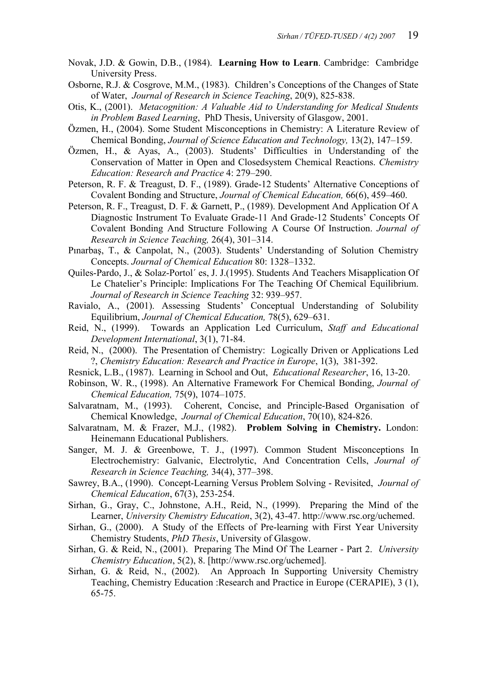- Novak, J.D. & Gowin, D.B., (1984). **Learning How to Learn**. Cambridge: Cambridge University Press.
- Osborne, R.J. & Cosgrove, M.M., (1983). Children's Conceptions of the Changes of State of Water, *Journal of Research in Science Teaching*, 20(9), 825-838.
- Otis, K., (2001). *Metacognition: A Valuable Aid to Understanding for Medical Students in Problem Based Learning*, PhD Thesis, University of Glasgow, 2001.
- Özmen, H., (2004). Some Student Misconceptions in Chemistry: A Literature Review of Chemical Bonding, *Journal of Science Education and Technology,* 13(2), 147–159.
- Özmen, H., & Ayas, A., (2003). Students' Difficulties in Understanding of the Conservation of Matter in Open and Closedsystem Chemical Reactions. *Chemistry Education: Research and Practice* 4: 279–290.
- Peterson, R. F. & Treagust, D. F., (1989). Grade-12 Students' Alternative Conceptions of Covalent Bonding and Structure, *Journal of Chemical Education,* 66(6), 459–460.
- Peterson, R. F., Treagust, D. F. & Garnett, P., (1989). Development And Application Of A Diagnostic Instrument To Evaluate Grade-11 And Grade-12 Students' Concepts Of Covalent Bonding And Structure Following A Course Of Instruction. *Journal of Research in Science Teaching,* 26(4), 301–314.
- Pınarbaş, T., & Canpolat, N., (2003). Students' Understanding of Solution Chemistry Concepts. *Journal of Chemical Education* 80: 1328–1332.
- Quiles-Pardo, J., & Solaz-Portol´ es, J. J.(1995). Students And Teachers Misapplication Of Le Chatelier's Principle: Implications For The Teaching Of Chemical Equilibrium. *Journal of Research in Science Teaching* 32: 939–957.
- Ravialo, A., (2001). Assessing Students' Conceptual Understanding of Solubility Equilibrium, *Journal of Chemical Education,* 78(5), 629–631.
- Reid, N., (1999). Towards an Application Led Curriculum, *Staff and Educational Development International*, 3(1), 71-84.
- Reid, N., (2000). The Presentation of Chemistry: Logically Driven or Applications Led ?, *Chemistry Education: Research and Practice in Europe*, 1(3), 381-392.
- Resnick, L.B., (1987). Learning in School and Out, *Educational Researcher*, 16, 13-20.
- Robinson, W. R., (1998). An Alternative Framework For Chemical Bonding, *Journal of Chemical Education,* 75(9), 1074–1075.
- Salvaratnam, M., (1993). Coherent, Concise, and Principle-Based Organisation of Chemical Knowledge, *Journal of Chemical Education*, 70(10), 824-826.
- Salvaratnam, M. & Frazer, M.J., (1982). **Problem Solving in Chemistry.** London: Heinemann Educational Publishers.
- Sanger, M. J. & Greenbowe, T. J., (1997). Common Student Misconceptions In Electrochemistry: Galvanic, Electrolytic, And Concentration Cells, *Journal of Research in Science Teaching,* 34(4), 377–398.
- Sawrey, B.A., (1990). Concept-Learning Versus Problem Solving Revisited, *Journal of Chemical Education*, 67(3), 253-254.
- Sirhan, G., Gray, C., Johnstone, A.H., Reid, N., (1999). Preparing the Mind of the Learner, *University Chemistry Education*, 3(2), 43-47. http://www.rsc.org/uchemed.
- Sirhan, G., (2000). A Study of the Effects of Pre-learning with First Year University Chemistry Students, *PhD Thesis*, University of Glasgow.
- Sirhan, G. & Reid, N., (2001). Preparing The Mind Of The Learner Part 2. *University Chemistry Education*, 5(2), 8. [http://www.rsc.org/uchemed].
- Sirhan, G. & Reid, N., (2002). An Approach In Supporting University Chemistry Teaching, Chemistry Education :Research and Practice in Europe (CERAPIE), 3 (1), 65-75.